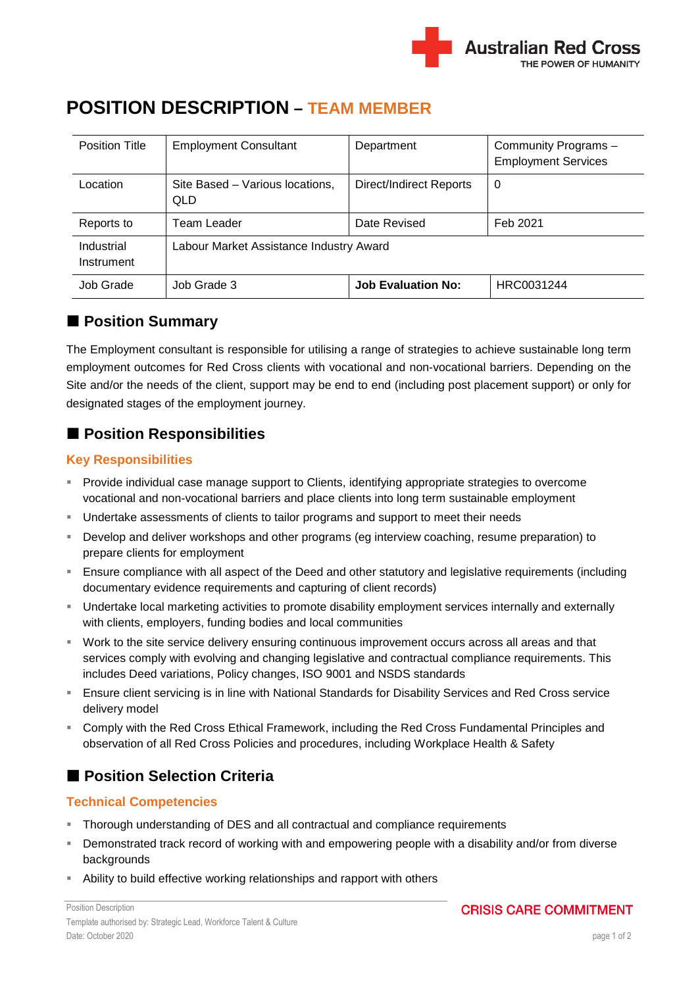

| Position Title           | <b>Employment Consultant</b>                  | Department                | Community Programs -<br><b>Employment Services</b> |
|--------------------------|-----------------------------------------------|---------------------------|----------------------------------------------------|
| Location                 | Site Based – Various locations,<br><b>QLD</b> | Direct/Indirect Reports   | 0                                                  |
| Reports to               | Team Leader                                   | Date Revised              | Feb 2021                                           |
| Industrial<br>Instrument | Labour Market Assistance Industry Award       |                           |                                                    |
| Job Grade                | Job Grade 3                                   | <b>Job Evaluation No:</b> | HRC0031244                                         |

# **POSITION DESCRIPTION – TEAM MEMBER**

### **Position Summary**

The Employment consultant is responsible for utilising a range of strategies to achieve sustainable long term employment outcomes for Red Cross clients with vocational and non-vocational barriers. Depending on the Site and/or the needs of the client, support may be end to end (including post placement support) or only for designated stages of the employment journey.

# **Position Responsibilities**

### **Key Responsibilities**

- **Provide individual case manage support to Clients, identifying appropriate strategies to overcome** vocational and non-vocational barriers and place clients into long term sustainable employment
- **Undertake assessments of clients to tailor programs and support to meet their needs**
- Develop and deliver workshops and other programs (eg interview coaching, resume preparation) to prepare clients for employment
- Ensure compliance with all aspect of the Deed and other statutory and legislative requirements (including documentary evidence requirements and capturing of client records)
- Undertake local marketing activities to promote disability employment services internally and externally with clients, employers, funding bodies and local communities
- Work to the site service delivery ensuring continuous improvement occurs across all areas and that services comply with evolving and changing legislative and contractual compliance requirements. This includes Deed variations, Policy changes, ISO 9001 and NSDS standards
- Ensure client servicing is in line with National Standards for Disability Services and Red Cross service delivery model
- Comply with the Red Cross Ethical Framework, including the Red Cross Fundamental Principles and observation of all Red Cross Policies and procedures, including Workplace Health & Safety

# ■ Position Selection Criteria

### **Technical Competencies**

- Thorough understanding of DES and all contractual and compliance requirements
- Demonstrated track record of working with and empowering people with a disability and/or from diverse backgrounds
- Ability to build effective working relationships and rapport with others